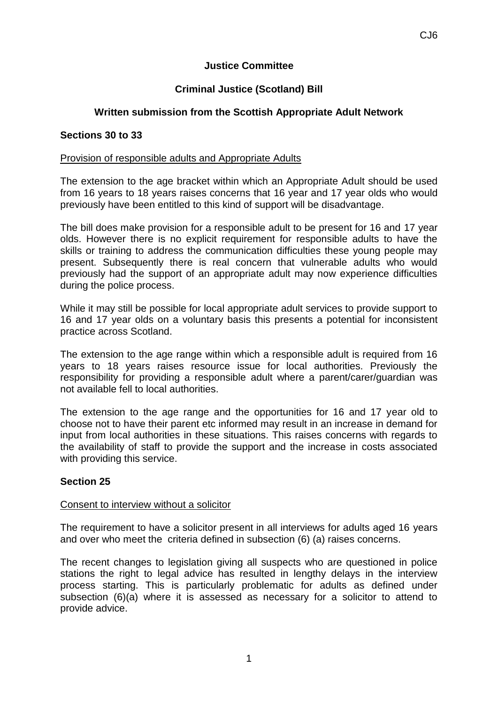## **Justice Committee**

# **Criminal Justice (Scotland) Bill**

# **Written submission from the Scottish Appropriate Adult Network**

### **Sections 30 to 33**

#### Provision of responsible adults and Appropriate Adults

The extension to the age bracket within which an Appropriate Adult should be used from 16 years to 18 years raises concerns that 16 year and 17 year olds who would previously have been entitled to this kind of support will be disadvantage.

The bill does make provision for a responsible adult to be present for 16 and 17 year olds. However there is no explicit requirement for responsible adults to have the skills or training to address the communication difficulties these young people may present. Subsequently there is real concern that vulnerable adults who would previously had the support of an appropriate adult may now experience difficulties during the police process.

While it may still be possible for local appropriate adult services to provide support to 16 and 17 year olds on a voluntary basis this presents a potential for inconsistent practice across Scotland.

The extension to the age range within which a responsible adult is required from 16 years to 18 years raises resource issue for local authorities. Previously the responsibility for providing a responsible adult where a parent/carer/guardian was not available fell to local authorities.

The extension to the age range and the opportunities for 16 and 17 year old to choose not to have their parent etc informed may result in an increase in demand for input from local authorities in these situations. This raises concerns with regards to the availability of staff to provide the support and the increase in costs associated with providing this service.

## **Section 25**

#### Consent to interview without a solicitor

The requirement to have a solicitor present in all interviews for adults aged 16 years and over who meet the criteria defined in subsection (6) (a) raises concerns.

The recent changes to legislation giving all suspects who are questioned in police stations the right to legal advice has resulted in lengthy delays in the interview process starting. This is particularly problematic for adults as defined under subsection (6)(a) where it is assessed as necessary for a solicitor to attend to provide advice.